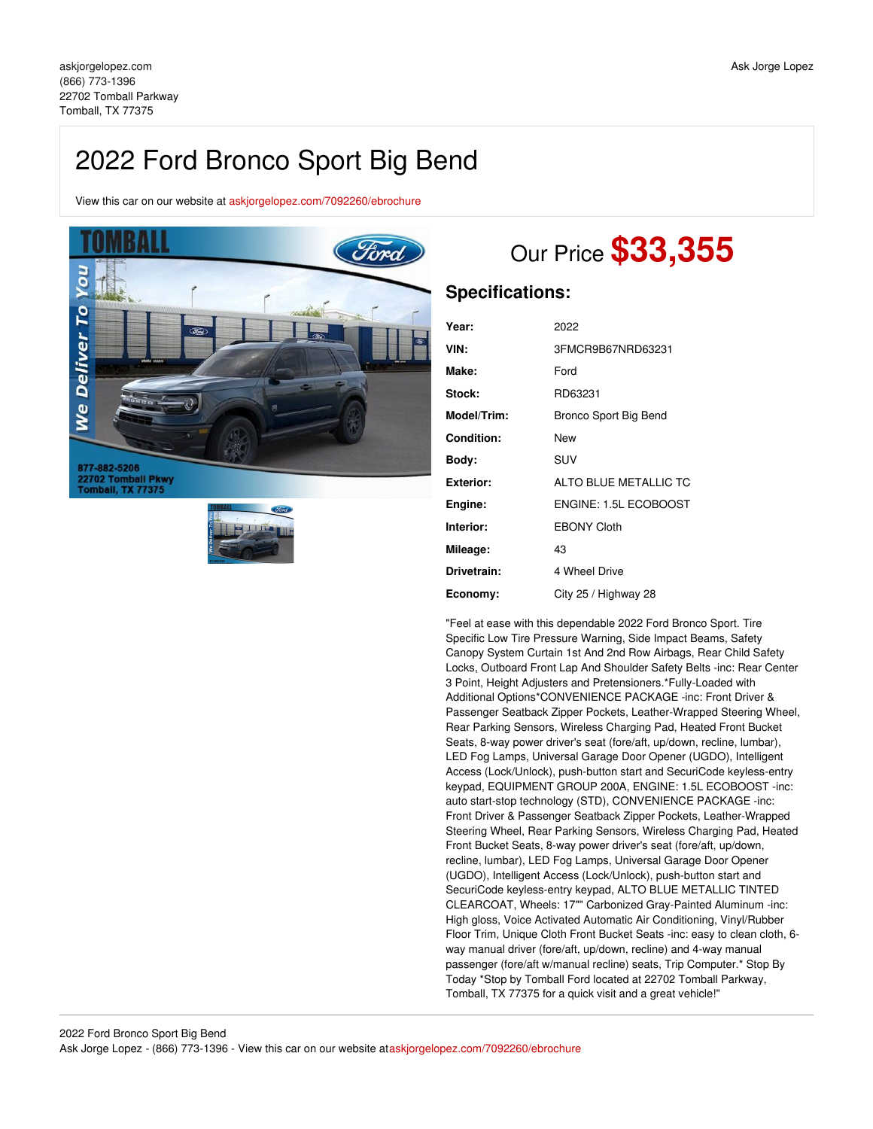# 2022 Ford Bronco Sport Big Bend

View this car on our website at [askjorgelopez.com/7092260/ebrochure](https://askjorgelopez.com/vehicle/7092260/2022-ford-bronco-sport-big-bend-tomball-tx-77375/7092260/ebrochure)



877-882-5206<br>22702 Tomball Pkwy<br>Tomball, TX 77375



# Our Price **\$33,355**

## **Specifications:**

| Year:             | 2022                  |
|-------------------|-----------------------|
| VIN:              | 3FMCR9B67NRD63231     |
| Make:             | Ford                  |
| Stock:            | RD63231               |
| Model/Trim:       | Bronco Sport Big Bend |
| <b>Condition:</b> | New                   |
| Body:             | SUV                   |
| <b>Exterior:</b>  | ALTO BLUE METALLIC TC |
| Engine:           | ENGINE: 1.5L ECOBOOST |
| Interior:         | <b>EBONY Cloth</b>    |
| Mileage:          | 43                    |
| Drivetrain:       | 4 Wheel Drive         |
| Economy:          | City 25 / Highway 28  |

"Feel at ease with this dependable 2022 Ford Bronco Sport. Tire Specific Low Tire Pressure Warning, Side Impact Beams, Safety Canopy System Curtain 1st And 2nd Row Airbags, Rear Child Safety Locks, Outboard Front Lap And Shoulder Safety Belts -inc: Rear Center 3 Point, Height Adjusters and Pretensioners.\*Fully-Loaded with Additional Options\*CONVENIENCE PACKAGE -inc: Front Driver & Passenger Seatback Zipper Pockets, Leather-Wrapped Steering Wheel, Rear Parking Sensors, Wireless Charging Pad, Heated Front Bucket Seats, 8-way power driver's seat (fore/aft, up/down, recline, lumbar), LED Fog Lamps, Universal Garage Door Opener (UGDO), Intelligent Access (Lock/Unlock), push-button start and SecuriCode keyless-entry keypad, EQUIPMENT GROUP 200A, ENGINE: 1.5L ECOBOOST -inc: auto start-stop technology (STD), CONVENIENCE PACKAGE -inc: Front Driver & Passenger Seatback Zipper Pockets, Leather-Wrapped Steering Wheel, Rear Parking Sensors, Wireless Charging Pad, Heated Front Bucket Seats, 8-way power driver's seat (fore/aft, up/down, recline, lumbar), LED Fog Lamps, Universal Garage Door Opener (UGDO), Intelligent Access (Lock/Unlock), push-button start and SecuriCode keyless-entry keypad, ALTO BLUE METALLIC TINTED CLEARCOAT, Wheels: 17"" Carbonized Gray-Painted Aluminum -inc: High gloss, Voice Activated Automatic Air Conditioning, Vinyl/Rubber Floor Trim, Unique Cloth Front Bucket Seats -inc: easy to clean cloth, 6 way manual driver (fore/aft, up/down, recline) and 4-way manual passenger (fore/aft w/manual recline) seats, Trip Computer.\* Stop By Today \*Stop by Tomball Ford located at 22702 Tomball Parkway, Tomball, TX 77375 for a quick visit and a great vehicle!"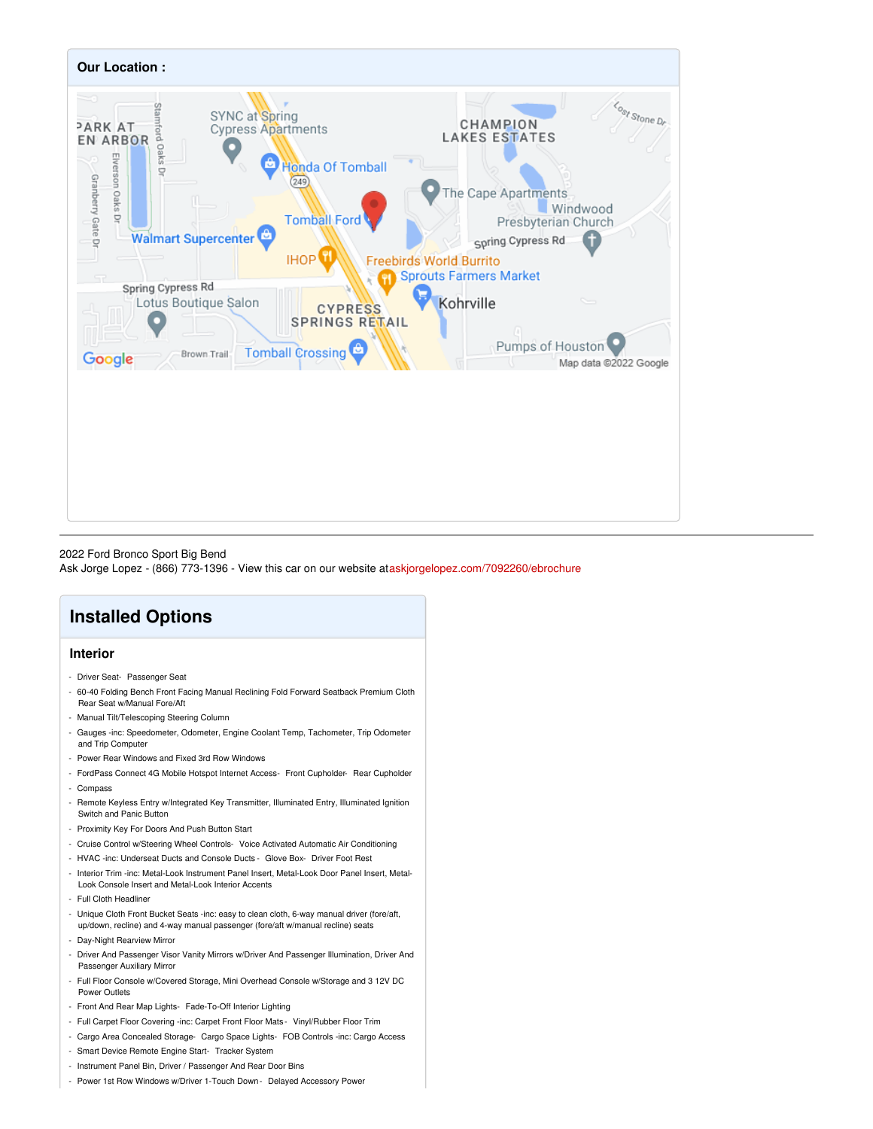

### 2022 Ford Bronco Sport Big Bend

Ask Jorge Lopez - (866) 773-1396 - View this car on our website at[askjorgelopez.com/7092260/ebrochure](https://askjorgelopez.com/vehicle/7092260/2022-ford-bronco-sport-big-bend-tomball-tx-77375/7092260/ebrochure)

## **Installed Options**

## **Interior**

- Driver Seat- Passenger Seat
- 60-40 Folding Bench Front Facing Manual Reclining Fold Forward Seatback Premium Cloth Rear Seat w/Manual Fore/Aft
- Manual Tilt/Telescoping Steering Column
- Gauges -inc: Speedometer, Odometer, Engine Coolant Temp, Tachometer, Trip Odometer and Trip Computer
- Power Rear Windows and Fixed 3rd Row Windows
- FordPass Connect 4G Mobile Hotspot Internet Access- Front Cupholder- Rear Cupholder - Compass
- Remote Keyless Entry w/Integrated Key Transmitter, Illuminated Entry, Illuminated Ignition Switch and Panic Button
- Proximity Key For Doors And Push Button Start
- Cruise Control w/Steering Wheel Controls- Voice Activated Automatic Air Conditioning
- HVAC -inc: Underseat Ducts and Console Ducts Glove Box- Driver Foot Rest
- Interior Trim -inc: Metal-Look Instrument Panel Insert, Metal-Look Door Panel Insert, Metal-Look Console Insert and Metal-Look Interior Accents
- Full Cloth Headliner
- Unique Cloth Front Bucket Seats -inc: easy to clean cloth, 6-way manual driver (fore/aft, up/down, recline) and 4-way manual passenger (fore/aft w/manual recline) seats
- Day-Night Rearview Mirror
- Driver And Passenger Visor Vanity Mirrors w/Driver And Passenger Illumination, Driver And Passenger Auxiliary Mirror
- Full Floor Console w/Covered Storage, Mini Overhead Console w/Storage and 3 12V DC Power Outlets
- Front And Rear Map Lights- Fade-To-Off Interior Lighting
- Full Carpet Floor Covering -inc: Carpet Front Floor Mats Vinyl/Rubber Floor Trim
- Cargo Area Concealed Storage- Cargo Space Lights- FOB Controls -inc: Cargo Access
- Smart Device Remote Engine Start- Tracker System
- Instrument Panel Bin, Driver / Passenger And Rear Door Bins
- Power 1st Row Windows w/Driver 1-Touch Down Delayed Accessory Power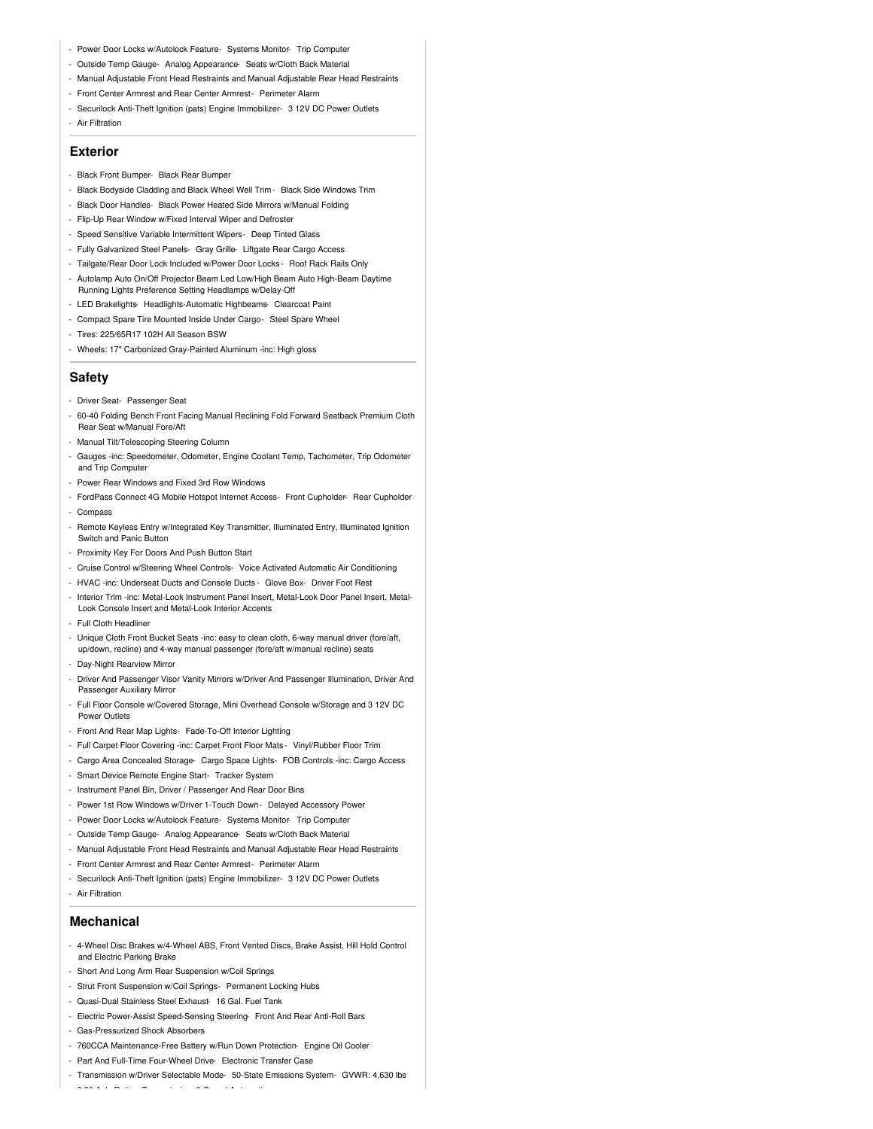- Power Door Locks w/Autolock Feature- Systems Monitor- Trip Computer
- Outside Temp Gauge- Analog Appearance- Seats w/Cloth Back Material
- Manual Adjustable Front Head Restraints and Manual Adjustable Rear Head Restraints
- Front Center Armrest and Rear Center Armrest- Perimeter Alarm
- Securilock Anti-Theft Ignition (pats) Engine Immobilizer- 3 12V DC Power Outlets
- Air Filtration

### **Exterior**

- Black Front Bumper- Black Rear Bumper
- Black Bodyside Cladding and Black Wheel Well Trim Black Side Windows Trim
- Black Door Handles- Black Power Heated Side Mirrors w/Manual Folding
- Flip-Up Rear Window w/Fixed Interval Wiper and Defroster
- Speed Sensitive Variable Intermittent Wipers- Deep Tinted Glass
- Fully Galvanized Steel Panels- Gray Grille- Liftgate Rear Cargo Access
- Tailgate/Rear Door Lock Included w/Power Door Locks Roof Rack Rails Only
- Autolamp Auto On/Off Projector Beam Led Low/High Beam Auto High-Beam Daytime Running Lights Preference Setting Headlamps w/Delay-Off
- LED Brakelights- Headlights-Automatic Highbeams- Clearcoat Paint
- Compact Spare Tire Mounted Inside Under Cargo- Steel Spare Wheel
- Tires: 225/65R17 102H All Season BSW
- Wheels: 17" Carbonized Gray-Painted Aluminum -inc: High gloss

#### **Safety**

- Driver Seat- Passenger Seat
- 60-40 Folding Bench Front Facing Manual Reclining Fold Forward Seatback Premium Cloth Rear Seat w/Manual Fore/Aft
- Manual Tilt/Telescoping Steering Column
- Gauges -inc: Speedometer, Odometer, Engine Coolant Temp, Tachometer, Trip Odometer and Trip Computer
- Power Rear Windows and Fixed 3rd Row Windows
- FordPass Connect 4G Mobile Hotspot Internet Access- Front Cupholder- Rear Cupholder
- Compass
- Remote Keyless Entry w/Integrated Key Transmitter, Illuminated Entry, Illuminated Ignition Switch and Panic Button
- Proximity Key For Doors And Push Button Start
- Cruise Control w/Steering Wheel Controls- Voice Activated Automatic Air Conditioning
- HVAC -inc: Underseat Ducts and Console Ducts Glove Box- Driver Foot Rest
- Interior Trim -inc: Metal-Look Instrument Panel Insert, Metal-Look Door Panel Insert, Metal-Look Console Insert and Metal-Look Interior Accents
- Full Cloth Headliner
- Unique Cloth Front Bucket Seats -inc: easy to clean cloth, 6-way manual driver (fore/aft, up/down, recline) and 4-way manual passenger (fore/aft w/manual recline) seats
- Day-Night Rearview Mirror
- Driver And Passenger Visor Vanity Mirrors w/Driver And Passenger Illumination, Driver And Passenger Auxiliary Mirror
- Full Floor Console w/Covered Storage, Mini Overhead Console w/Storage and 3 12V DC Power Outlets
- Front And Rear Map Lights- Fade-To-Off Interior Lighting
- Full Carpet Floor Covering -inc: Carpet Front Floor Mats Vinyl/Rubber Floor Trim
- Cargo Area Concealed Storage- Cargo Space Lights- FOB Controls -inc: Cargo Access
- Smart Device Remote Engine Start- Tracker System
- Instrument Panel Bin, Driver / Passenger And Rear Door Bins
- Power 1st Row Windows w/Driver 1-Touch Down Delayed Accessory Power
- Power Door Locks w/Autolock Feature- Systems Monitor- Trip Computer
- Outside Temp Gauge- Analog Appearance- Seats w/Cloth Back Material
- Manual Adjustable Front Head Restraints and Manual Adjustable Rear Head Restraints
- Front Center Armrest and Rear Center Armrest- Perimeter Alarm
- Securilock Anti-Theft Ignition (pats) Engine Immobilizer- 3 12V DC Power Outlets
- Air Filtration

#### **Mechanical**

- 4-Wheel Disc Brakes w/4-Wheel ABS, Front Vented Discs, Brake Assist, Hill Hold Control and Electric Parking Brake
- Short And Long Arm Rear Suspension w/Coil Springs
- Strut Front Suspension w/Coil Springs- Permanent Locking Hubs
- Quasi-Dual Stainless Steel Exhaust- 16 Gal. Fuel Tank

- 3.80 Axle Ratio- Transmission: 8-Speed Automatic

- Electric Power-Assist Speed-Sensing Steering- Front And Rear Anti-Roll Bars
- Gas-Pressurized Shock Absorbers
- 760CCA Maintenance-Free Battery w/Run Down Protection- Engine Oil Cooler
- Part And Full-Time Four-Wheel Drive- Electronic Transfer Case
- Transmission w/Driver Selectable Mode- 50-State Emissions System- GVWR: 4,630 lbs